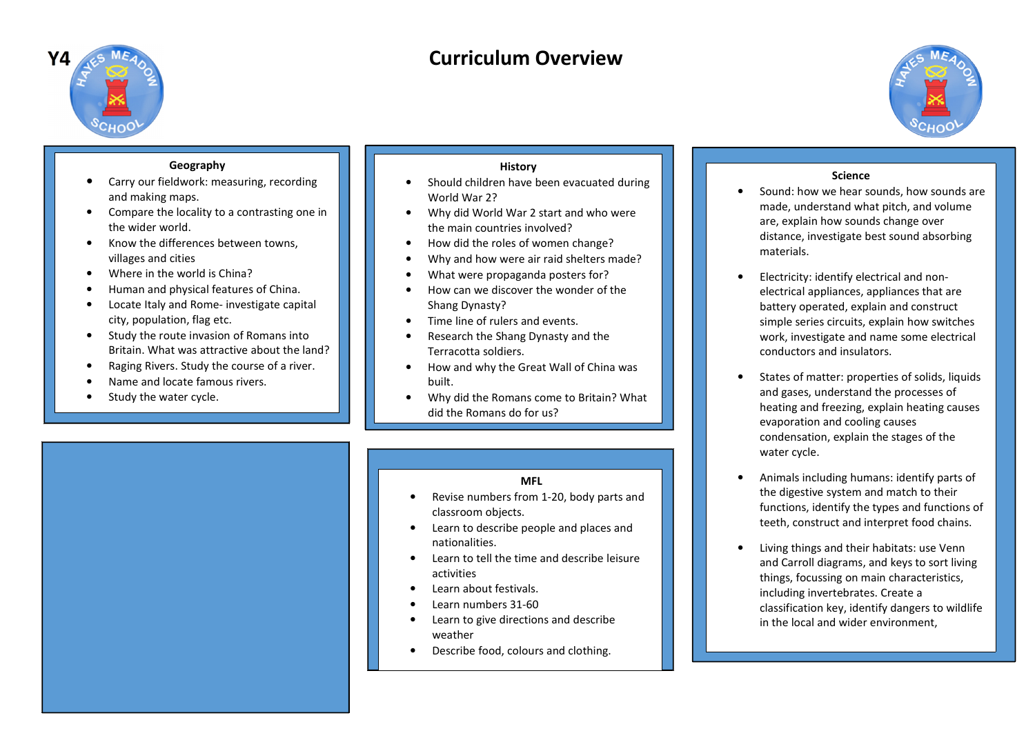

# **Curriculum Overview**



# **Geography**

- **•** Carry our fieldwork: measuring, recording •and making maps.
- • Compare the locality to a contrasting one in the wider world.
- • Know the differences between towns, villages and cities
- Where in the world is China?•
- Human and physical features of China. •
- • Locate Italy and Rome- investigate capital city, population, flag etc.
- • Study the route invasion of Romans into Britain. What was attractive about the land?
- •Raging Rivers. Study the course of a river.
- •Name and locate famous rivers.
- •Study the water cycle.

## **History**

- Should children have been evacuated during •World War 2?
- Why did World War 2 start and who were •the main countries involved?
- How did the roles of women change? •
- Why and how were air raid shelters made?•
- •What were propaganda posters for?
- How can we discover the wonder of the •Shang Dynasty?
- Time line of rulers and events.  $\bullet$
- • Research the Shang Dynasty and the Terracotta soldiers.
- • How and why the Great Wall of China was built.
- • Why did the Romans come to Britain? What did the Romans do for us?

## **MFL**

- Revise numbers from 1-20, body parts and •classroom objects.
- • Learn to describe people and places and nationalities.
- • Learn to tell the time and describe leisure activities
- Learn about festivals. •
- •Learn numbers 31-60
- Learn to give directions and describe •weather
- Describe food, colours and clothing.•

## **Science**

- **•** Sound: how we hear sounds, how sounds are •made, understand what pitch, and volume are, explain how sounds change over distance, investigate best sound absorbing materials.
- • Electricity: identify electrical and nonelectrical appliances, appliances that are battery operated, explain and construct simple series circuits, explain how switches work, investigate and name some electrical conductors and insulators.
- • States of matter: properties of solids, liquids and gases, understand the processes of heating and freezing, explain heating causes evaporation and cooling causes condensation, explain the stages of the water cycle.
- • Animals including humans: identify parts of the digestive system and match to their functions, identify the types and functions of teeth, construct and interpret food chains.
- • Living things and their habitats: use Venn and Carroll diagrams, and keys to sort living things, focussing on main characteristics, including invertebrates. Create a classification key, identify dangers to wildlife in the local and wider environment,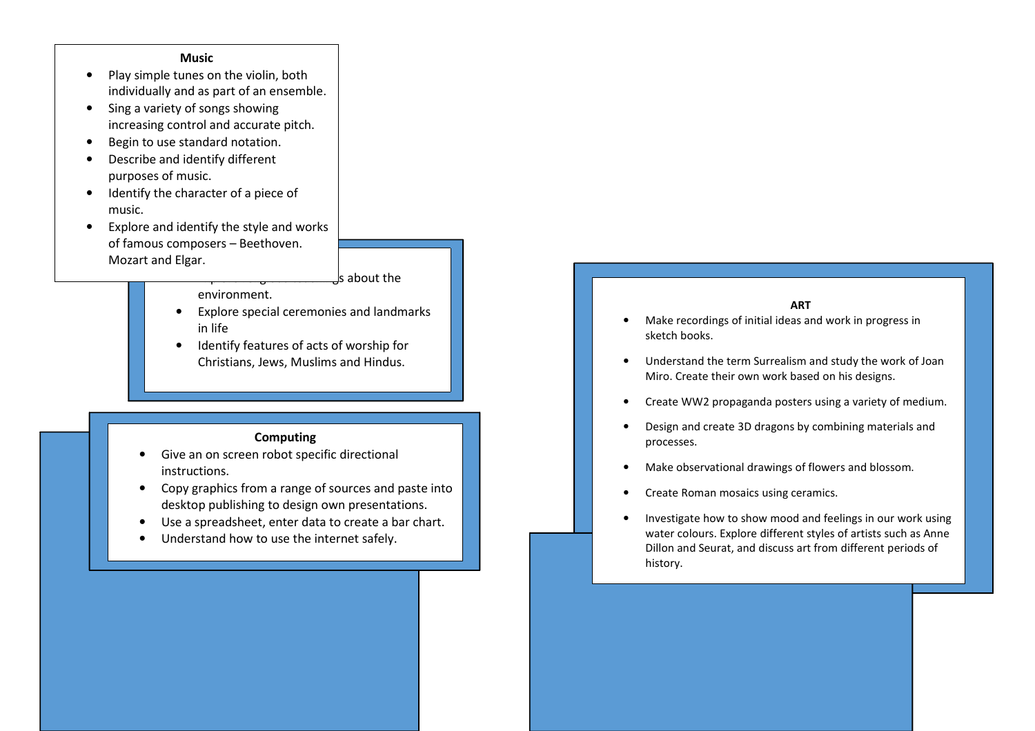#### **Music**

- Play simple tunes on the violin, both •individually and as part of an ensemble.
- $\bullet$  Sing a variety of songs showing increasing control and accurate pitch.
- •Begin to use standard notation.
- • Describe and identify different purposes of music.
- $\bullet$  Identify the character of a piece of music.
- • Explore and identify the style and works of famous composers – Beethoven. Mozart and Elgar.

Is about the

- environment.
- • Explore special ceremonies and landmarks in life
- **•** Identify features of acts of worship for •Christians, Jews, Muslims and Hindus.

## **Computing**

- Give an on screen robot specific directional •instructions.
- • Copy graphics from a range of sources and paste intodesktop publishing to design own presentations.
- •Use a spreadsheet, enter data to create a bar chart.
- •Understand how to use the internet safely.

#### **ART**

- Make recordings of initial ideas and work in progress in •sketch books.
- • Understand the term Surrealism and study the work of Joan Miro. Create their own work based on his designs.
- •Create WW2 propaganda posters using a variety of medium.
- • Design and create 3D dragons by combining materials and processes.
- •Make observational drawings of flowers and blossom.
- •Create Roman mosaics using ceramics.
- • Investigate how to show mood and feelings in our work using water colours. Explore different styles of artists such as Anne Dillon and Seurat, and discuss art from different periods of history.